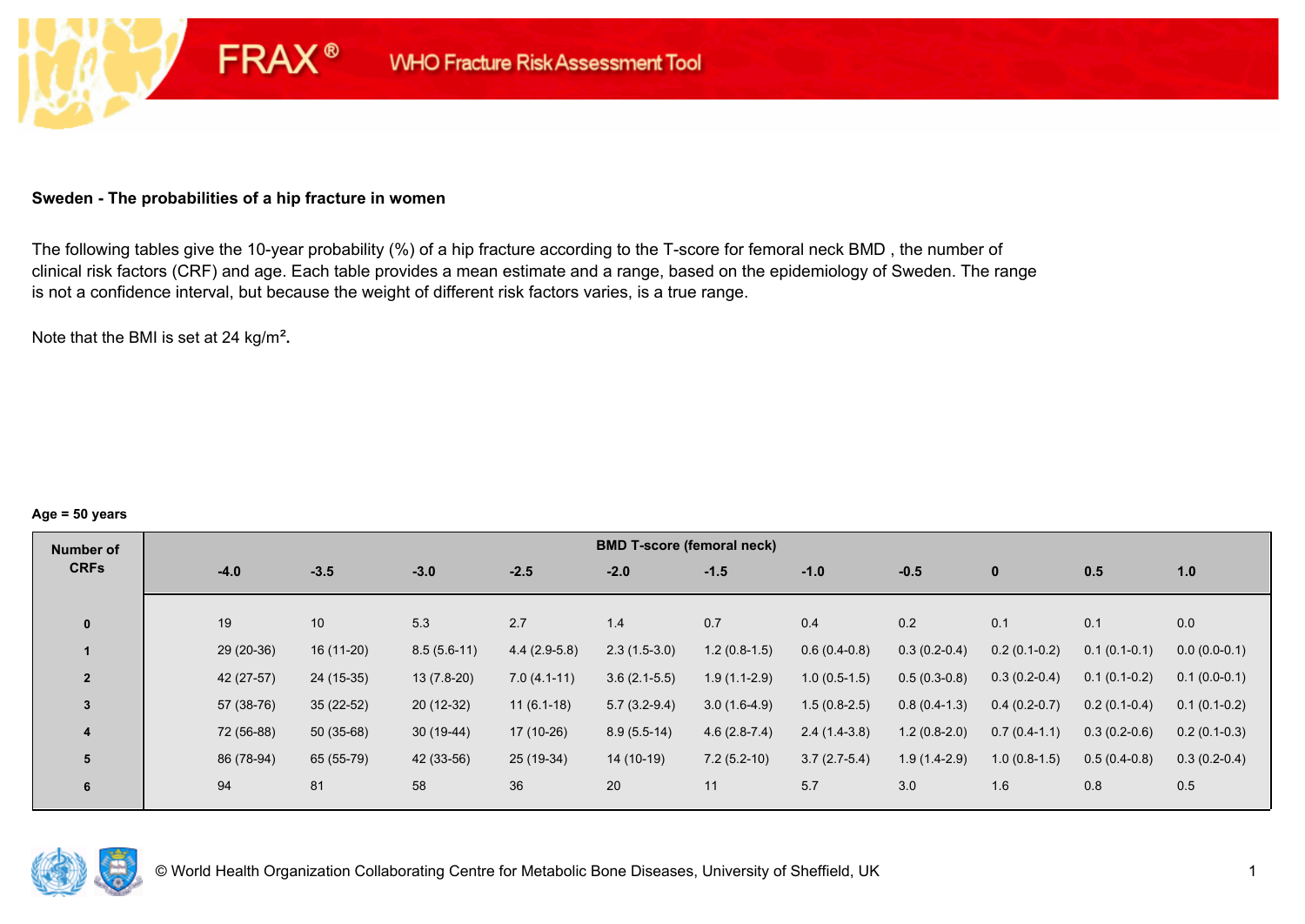### **Sweden - The probabilities of a hip fracture in women**

**FRAX®** 

The following tables give the 10-year probability (%) of a hip fracture according to the T-score for femoral neck BMD , the number of clinical risk factors (CRF) and age. Each table provides a mean estimate and a range, based on the epidemiology of Sweden. The range is not a confidence interval, but because the weight of different risk factors varies, is a true range.

Note that the BMI is set at 24 kg/m²**.** 

#### **Age = 50 years**

| Number of      |            |             |               |                | <b>BMD T-score (femoral neck)</b> |                |                |                |                |                |                |
|----------------|------------|-------------|---------------|----------------|-----------------------------------|----------------|----------------|----------------|----------------|----------------|----------------|
| <b>CRFs</b>    | $-4.0$     | $-3.5$      | $-3.0$        | $-2.5$         | $-2.0$                            | $-1.5$         | $-1.0$         | $-0.5$         | $\mathbf{0}$   | 0.5            | 1.0            |
|                |            |             |               |                |                                   |                |                |                |                |                |                |
| $\mathbf{0}$   | 19         | 10          | 5.3           | 2.7            | 1.4                               | 0.7            | 0.4            | 0.2            | 0.1            | 0.1            | 0.0            |
|                | 29 (20-36) | 16 (11-20)  | $8.5(5.6-11)$ | $4.4(2.9-5.8)$ | $2.3(1.5-3.0)$                    | $1.2(0.8-1.5)$ | $0.6(0.4-0.8)$ | $0.3(0.2-0.4)$ | $0.2(0.1-0.2)$ | $0.1(0.1-0.1)$ | $0.0(0.0-0.1)$ |
| $\overline{2}$ | 42 (27-57) | 24 (15-35)  | $13(7.8-20)$  | $7.0(4.1-11)$  | $3.6(2.1-5.5)$                    | $1.9(1.1-2.9)$ | $1.0(0.5-1.5)$ | $0.5(0.3-0.8)$ | $0.3(0.2-0.4)$ | $0.1(0.1-0.2)$ | $0.1(0.0-0.1)$ |
| 3              | 57 (38-76) | $35(22-52)$ | $20(12-32)$   | $11(6.1-18)$   | $5.7(3.2-9.4)$                    | $3.0(1.6-4.9)$ | $1.5(0.8-2.5)$ | $0.8(0.4-1.3)$ | $0.4(0.2-0.7)$ | $0.2(0.1-0.4)$ | $0.1(0.1-0.2)$ |
| 4              | 72 (56-88) | $50(35-68)$ | $30(19-44)$   | 17 (10-26)     | $8.9(5.5-14)$                     | $4.6(2.8-7.4)$ | $2.4(1.4-3.8)$ | $1.2(0.8-2.0)$ | $0.7(0.4-1.1)$ | $0.3(0.2-0.6)$ | $0.2(0.1-0.3)$ |
| 5              | 86 (78-94) | 65 (55-79)  | 42 (33-56)    | 25 (19-34)     | 14 (10-19)                        | $7.2(5.2-10)$  | $3.7(2.7-5.4)$ | $1.9(1.4-2.9)$ | $1.0(0.8-1.5)$ | $0.5(0.4-0.8)$ | $0.3(0.2-0.4)$ |
| 6              | 94         | 81          | 58            | 36             | 20                                | 11             | 5.7            | 3.0            | 1.6            | 0.8            | 0.5            |

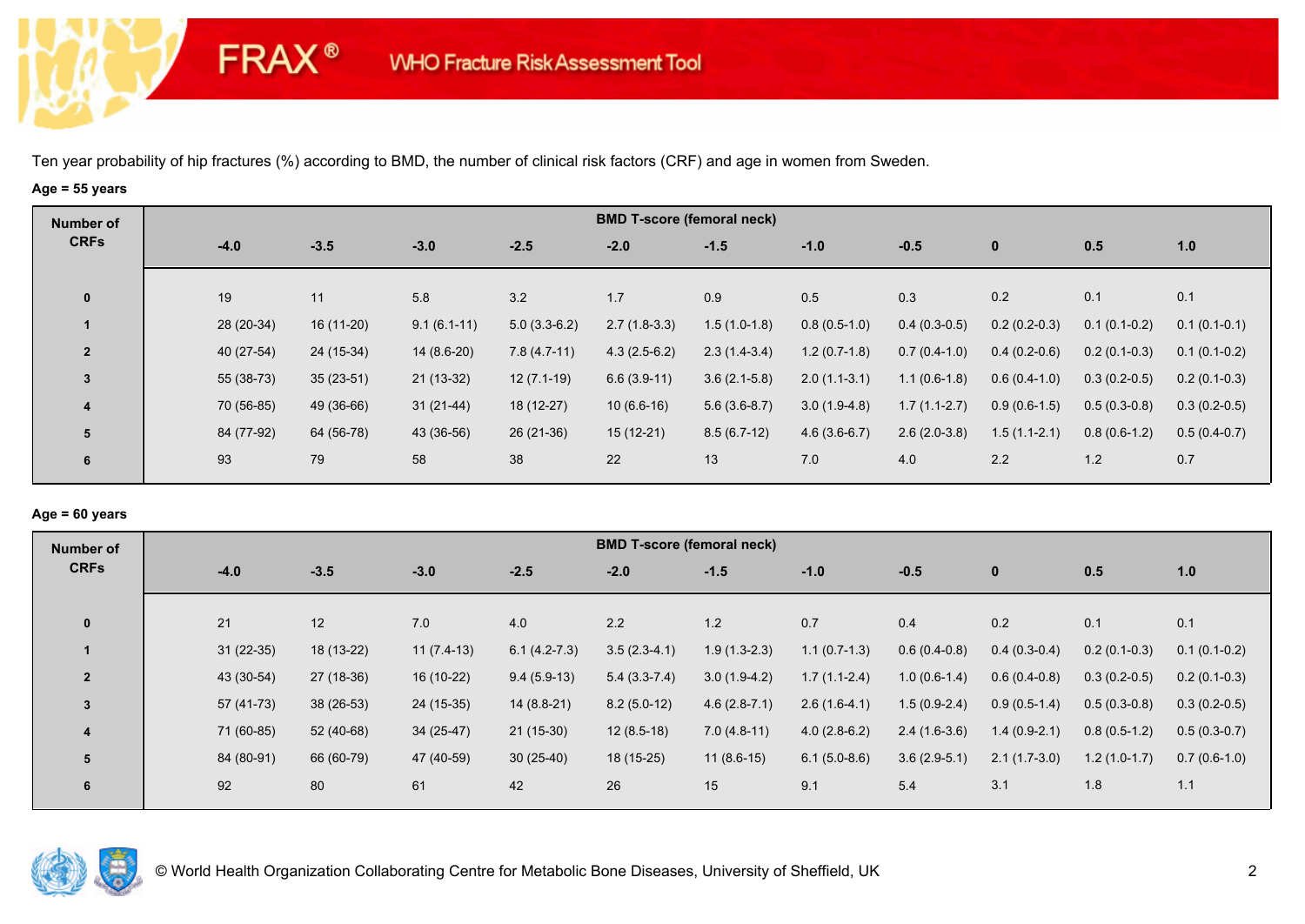**FRAX®** 

# **Age = 55 years**

| Number of      |            |             |               |                | <b>BMD T-score (femoral neck)</b> |                |                |                |                |                |                |
|----------------|------------|-------------|---------------|----------------|-----------------------------------|----------------|----------------|----------------|----------------|----------------|----------------|
| <b>CRFs</b>    | $-4.0$     | $-3.5$      | $-3.0$        | $-2.5$         | $-2.0$                            | $-1.5$         | $-1.0$         | $-0.5$         | $\mathbf 0$    | 0.5            | 1.0            |
| $\mathbf 0$    | 19         | 11          | 5.8           | 3.2            | 1.7                               | 0.9            | 0.5            | 0.3            | 0.2            | 0.1            | 0.1            |
|                | 28 (20-34) | 16 (11-20)  | $9.1(6.1-11)$ | $5.0(3.3-6.2)$ | $2.7(1.8-3.3)$                    | $1.5(1.0-1.8)$ | $0.8(0.5-1.0)$ | $0.4(0.3-0.5)$ | $0.2(0.2-0.3)$ | $0.1(0.1-0.2)$ | $0.1(0.1-0.1)$ |
| $\overline{2}$ | 40 (27-54) | 24 (15-34)  | $14(8.6-20)$  | $7.8(4.7-11)$  | $4.3(2.5-6.2)$                    | $2.3(1.4-3.4)$ | $1.2(0.7-1.8)$ | $0.7(0.4-1.0)$ | $0.4(0.2-0.6)$ | $0.2(0.1-0.3)$ | $0.1(0.1-0.2)$ |
| $\mathbf{3}$   | 55 (38-73) | $35(23-51)$ | $21(13-32)$   | $12(7.1-19)$   | $6.6(3.9-11)$                     | $3.6(2.1-5.8)$ | $2.0(1.1-3.1)$ | $1.1(0.6-1.8)$ | $0.6(0.4-1.0)$ | $0.3(0.2-0.5)$ | $0.2(0.1-0.3)$ |
| 4              | 70 (56-85) | 49 (36-66)  | $31(21-44)$   | 18 (12-27)     | $10(6.6-16)$                      | $5.6(3.6-8.7)$ | $3.0(1.9-4.8)$ | $1.7(1.1-2.7)$ | $0.9(0.6-1.5)$ | $0.5(0.3-0.8)$ | $0.3(0.2-0.5)$ |
| 5              | 84 (77-92) | 64 (56-78)  | 43 (36-56)    | $26(21-36)$    | $15(12-21)$                       | $8.5(6.7-12)$  | $4.6(3.6-6.7)$ | $2.6(2.0-3.8)$ | $1.5(1.1-2.1)$ | $0.8(0.6-1.2)$ | $0.5(0.4-0.7)$ |
| 6              | 93         | 79          | 58            | 38             | 22                                | 13             | 7.0            | 4.0            | 2.2            | 1.2            | 0.7            |

### **Age = 60 years**

| Number of               |             |             |              |                | <b>BMD T-score (femoral neck)</b> |                |                |                |                |                |                |
|-------------------------|-------------|-------------|--------------|----------------|-----------------------------------|----------------|----------------|----------------|----------------|----------------|----------------|
| <b>CRFs</b>             | $-4.0$      | $-3.5$      | $-3.0$       | $-2.5$         | $-2.0$                            | $-1.5$         | $-1.0$         | $-0.5$         | $\mathbf{0}$   | 0.5            | 1.0            |
| $\mathbf{0}$            | 21          | 12          | 7.0          | 4.0            | 2.2                               | 1.2            | 0.7            | 0.4            | 0.2            | 0.1            | 0.1            |
|                         | $31(22-35)$ | 18 (13-22)  | $11(7.4-13)$ | $6.1(4.2-7.3)$ | $3.5(2.3-4.1)$                    | $1.9(1.3-2.3)$ | $1.1(0.7-1.3)$ | $0.6(0.4-0.8)$ | $0.4(0.3-0.4)$ | $0.2(0.1-0.3)$ | $0.1(0.1-0.2)$ |
| $\overline{2}$          | 43 (30-54)  | 27 (18-36)  | 16 (10-22)   | $9.4(5.9-13)$  | $5.4(3.3-7.4)$                    | $3.0(1.9-4.2)$ | $1.7(1.1-2.4)$ | $1.0(0.6-1.4)$ | $0.6(0.4-0.8)$ | $0.3(0.2-0.5)$ | $0.2(0.1-0.3)$ |
| 3                       | 57 (41-73)  | $38(26-53)$ | $24(15-35)$  | $14(8.8-21)$   | $8.2(5.0-12)$                     | $4.6(2.8-7.1)$ | $2.6(1.6-4.1)$ | $1.5(0.9-2.4)$ | $0.9(0.5-1.4)$ | $0.5(0.3-0.8)$ | $0.3(0.2-0.5)$ |
| $\overline{\mathbf{4}}$ | 71 (60-85)  | 52 (40-68)  | $34(25-47)$  | $21(15-30)$    | $12(8.5-18)$                      | $7.0(4.8-11)$  | $4.0(2.8-6.2)$ | $2.4(1.6-3.6)$ | $1.4(0.9-2.1)$ | $0.8(0.5-1.2)$ | $0.5(0.3-0.7)$ |
| 5                       | 84 (80-91)  | 66 (60-79)  | 47 (40-59)   | $30(25-40)$    | $18(15-25)$                       | $11(8.6-15)$   | $6.1(5.0-8.6)$ | $3.6(2.9-5.1)$ | $2.1(1.7-3.0)$ | $1.2(1.0-1.7)$ | $0.7(0.6-1.0)$ |
| 6                       | 92          | 80          | 61           | 42             | 26                                | 15             | 9.1            | 5.4            | 3.1            | 1.8            | 1.1            |

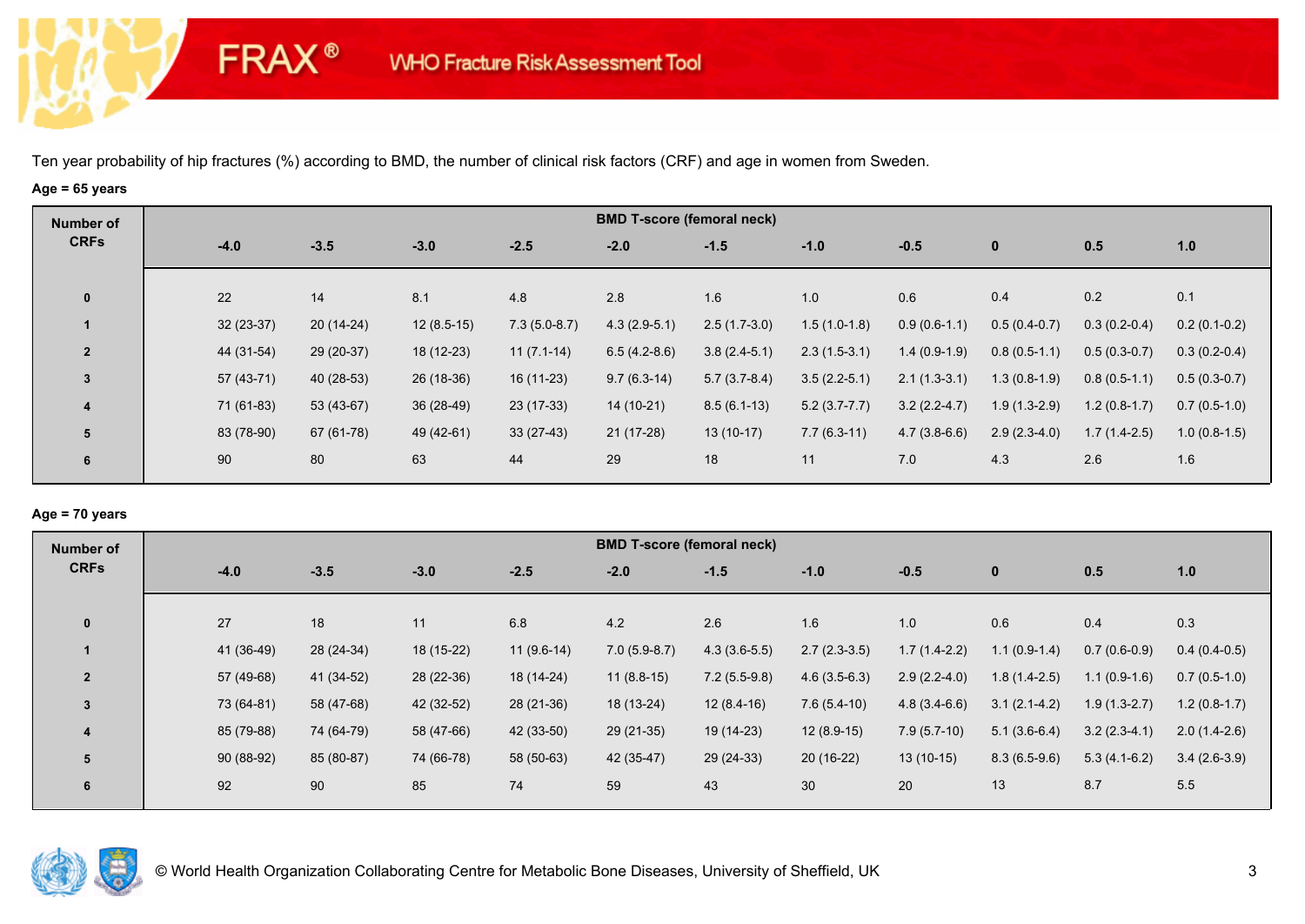**FRAX®** 

# **Age = 65 years**

| Number of               |             |             |              |                | <b>BMD T-score (femoral neck)</b> |                |                |                |                |                |                |
|-------------------------|-------------|-------------|--------------|----------------|-----------------------------------|----------------|----------------|----------------|----------------|----------------|----------------|
| <b>CRFs</b>             | $-4.0$      | $-3.5$      | $-3.0$       | $-2.5$         | $-2.0$                            | $-1.5$         | $-1.0$         | $-0.5$         | $\bf{0}$       | 0.5            | 1.0            |
| $\mathbf{0}$            | 22          | 14          | 8.1          | 4.8            | 2.8                               | 1.6            | 1.0            | 0.6            | 0.4            | 0.2            | 0.1            |
|                         | $32(23-37)$ | $20(14-24)$ | $12(8.5-15)$ | $7.3(5.0-8.7)$ | $4.3(2.9-5.1)$                    | $2.5(1.7-3.0)$ | $1.5(1.0-1.8)$ | $0.9(0.6-1.1)$ | $0.5(0.4-0.7)$ | $0.3(0.2-0.4)$ | $0.2(0.1-0.2)$ |
| $\overline{2}$          | 44 (31-54)  | 29 (20-37)  | 18 (12-23)   | $11(7.1-14)$   | $6.5(4.2-8.6)$                    | $3.8(2.4-5.1)$ | $2.3(1.5-3.1)$ | $1.4(0.9-1.9)$ | $0.8(0.5-1.1)$ | $0.5(0.3-0.7)$ | $0.3(0.2-0.4)$ |
| 3                       | $57(43-71)$ | 40 (28-53)  | 26 (18-36)   | $16(11-23)$    | $9.7(6.3-14)$                     | $5.7(3.7-8.4)$ | $3.5(2.2-5.1)$ | $2.1(1.3-3.1)$ | $1.3(0.8-1.9)$ | $0.8(0.5-1.1)$ | $0.5(0.3-0.7)$ |
| $\overline{\mathbf{4}}$ | 71 (61-83)  | 53 (43-67)  | $36(28-49)$  | $23(17-33)$    | 14 (10-21)                        | $8.5(6.1-13)$  | $5.2(3.7-7.7)$ | $3.2(2.2-4.7)$ | $1.9(1.3-2.9)$ | $1.2(0.8-1.7)$ | $0.7(0.5-1.0)$ |
| 5                       | 83 (78-90)  | 67 (61-78)  | 49 (42-61)   | $33(27-43)$    | $21(17-28)$                       | $13(10-17)$    | $7.7(6.3-11)$  | $4.7(3.8-6.6)$ | $2.9(2.3-4.0)$ | $1.7(1.4-2.5)$ | $1.0(0.8-1.5)$ |
| 6                       | 90          | 80          | 63           | 44             | 29                                | 18             | 11             | 7.0            | 4.3            | 2.6            | 1.6            |

### **Age = 70 years**

| Number of      |            |            |            |              | <b>BMD T-score (femoral neck)</b> |                |                |                |                |                |                |
|----------------|------------|------------|------------|--------------|-----------------------------------|----------------|----------------|----------------|----------------|----------------|----------------|
| <b>CRFs</b>    | $-4.0$     | $-3.5$     | $-3.0$     | $-2.5$       | $-2.0$                            | $-1.5$         | $-1.0$         | $-0.5$         | $\bf{0}$       | 0.5            | 1.0            |
|                |            |            |            |              |                                   |                |                |                |                |                |                |
| $\mathbf{0}$   | 27         | 18         | 11         | 6.8          | 4.2                               | 2.6            | 1.6            | 1.0            | 0.6            | 0.4            | 0.3            |
|                | 41 (36-49) | 28 (24-34) | 18 (15-22) | $11(9.6-14)$ | $7.0(5.9-8.7)$                    | $4.3(3.6-5.5)$ | $2.7(2.3-3.5)$ | $1.7(1.4-2.2)$ | $1.1(0.9-1.4)$ | $0.7(0.6-0.9)$ | $0.4(0.4-0.5)$ |
| $\overline{2}$ | 57 (49-68) | 41 (34-52) | 28 (22-36) | 18 (14-24)   | $11(8.8-15)$                      | $7.2(5.5-9.8)$ | $4.6(3.5-6.3)$ | $2.9(2.2-4.0)$ | $1.8(1.4-2.5)$ | $1.1(0.9-1.6)$ | $0.7(0.5-1.0)$ |
| $\overline{3}$ | 73 (64-81) | 58 (47-68) | 42 (32-52) | 28 (21-36)   | 18 (13-24)                        | $12(8.4-16)$   | $7.6(5.4-10)$  | $4.8(3.4-6.6)$ | $3.1(2.1-4.2)$ | $1.9(1.3-2.7)$ | $1.2(0.8-1.7)$ |
| 4              | 85 (79-88) | 74 (64-79) | 58 (47-66) | 42 (33-50)   | 29 (21-35)                        | 19 (14-23)     | $12(8.9-15)$   | $7.9(5.7-10)$  | $5.1(3.6-6.4)$ | $3.2(2.3-4.1)$ | $2.0(1.4-2.6)$ |
| 5              | 90 (88-92) | 85 (80-87) | 74 (66-78) | 58 (50-63)   | 42 (35-47)                        | 29 (24-33)     | $20(16-22)$    | $13(10-15)$    | $8.3(6.5-9.6)$ | $5.3(4.1-6.2)$ | $3.4(2.6-3.9)$ |
| 6              | 92         | 90         | 85         | 74           | 59                                | 43             | 30             | 20             | 13             | 8.7            | 5.5            |
|                |            |            |            |              |                                   |                |                |                |                |                |                |

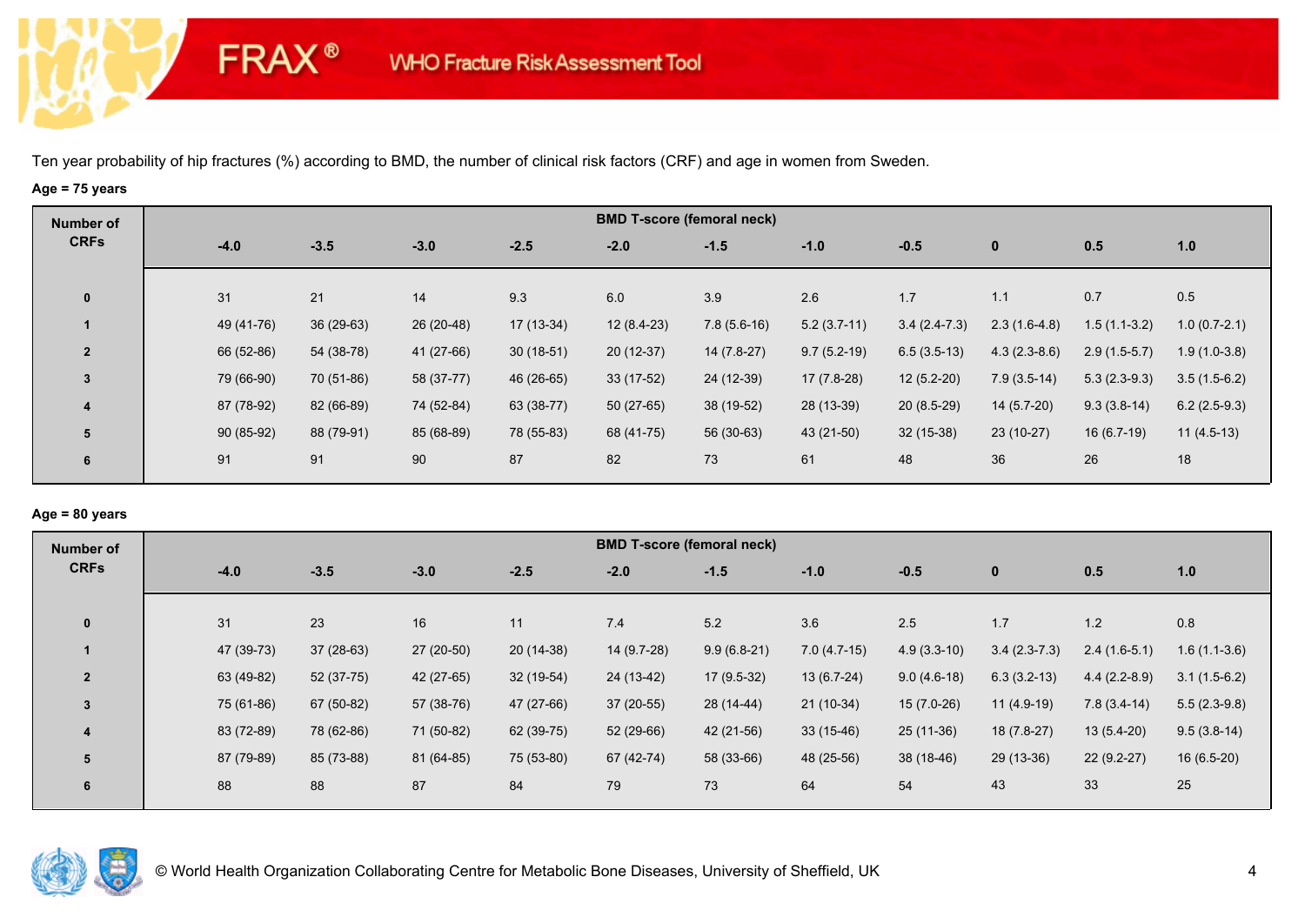**FRAX®** 

# **Age = 75 years**

| Number of      |             |             |            |             |              | <b>BMD T-score (femoral neck)</b> |               |                |                |                |                |
|----------------|-------------|-------------|------------|-------------|--------------|-----------------------------------|---------------|----------------|----------------|----------------|----------------|
| <b>CRFs</b>    | $-4.0$      | $-3.5$      | $-3.0$     | $-2.5$      | $-2.0$       | $-1.5$                            | $-1.0$        | $-0.5$         | $\mathbf{0}$   | 0.5            | 1.0            |
| $\mathbf{0}$   | 31          | 21          | 14         | 9.3         | 6.0          | 3.9                               | 2.6           | 1.7            | 1.1            | 0.7            | 0.5            |
|                | 49 (41-76)  | $36(29-63)$ | 26 (20-48) | $17(13-34)$ | $12(8.4-23)$ | $7.8(5.6-16)$                     | $5.2(3.7-11)$ | $3.4(2.4-7.3)$ | $2.3(1.6-4.8)$ | $1.5(1.1-3.2)$ | $1.0(0.7-2.1)$ |
| $\overline{2}$ | 66 (52-86)  | 54 (38-78)  | 41 (27-66) | $30(18-51)$ | $20(12-37)$  | $14(7.8-27)$                      | $9.7(5.2-19)$ | $6.5(3.5-13)$  | $4.3(2.3-8.6)$ | $2.9(1.5-5.7)$ | $1.9(1.0-3.8)$ |
| 3              | 79 (66-90)  | 70 (51-86)  | 58 (37-77) | 46 (26-65)  | $33(17-52)$  | 24 (12-39)                        | 17 (7.8-28)   | $12(5.2-20)$   | $7.9(3.5-14)$  | $5.3(2.3-9.3)$ | $3.5(1.5-6.2)$ |
| 4              | 87 (78-92)  | 82 (66-89)  | 74 (52-84) | 63 (38-77)  | $50(27-65)$  | 38 (19-52)                        | 28 (13-39)    | $20(8.5-29)$   | $14(5.7-20)$   | $9.3(3.8-14)$  | $6.2(2.5-9.3)$ |
| 5              | $90(85-92)$ | 88 (79-91)  | 85 (68-89) | 78 (55-83)  | 68 (41-75)   | 56 (30-63)                        | 43 (21-50)    | $32(15-38)$    | $23(10-27)$    | $16(6.7-19)$   | $11(4.5-13)$   |
| 6              | 91          | 91          | 90         | 87          | 82           | 73                                | 61            | 48             | 36             | 26             | 18             |
|                |             |             |            |             |              |                                   |               |                |                |                |                |

## **Age = 80 years**

| Number of      |            |        |                           |             |             | <b>BMD T-score (femoral neck)</b> |               |               |                |                |                |
|----------------|------------|--------|---------------------------|-------------|-------------|-----------------------------------|---------------|---------------|----------------|----------------|----------------|
| <b>CRFs</b>    | $-4.0$     | $-3.5$ | $-3.0$                    | $-2.5$      | $-2.0$      | $-1.5$                            | $-1.0$        | $-0.5$        | $\mathbf{0}$   | 0.5            | 1.0            |
| $\mathbf{0}$   | 31         | 23     | 16                        | 11          | 7.4         | 5.2                               | 3.6           | 2.5           | 1.7            | $1.2$          | 0.8            |
|                | 47 (39-73) |        | $37(28-63)$<br>27 (20-50) | $20(14-38)$ | 14 (9.7-28) | $9.9(6.8-21)$                     | $7.0(4.7-15)$ | $4.9(3.3-10)$ | $3.4(2.3-7.3)$ | $2.4(1.6-5.1)$ | $1.6(1.1-3.6)$ |
| $\overline{2}$ | 63 (49-82) |        | 42 (27-65)<br>52 (37-75)  | 32 (19-54)  | 24 (13-42)  | $17(9.5-32)$                      | $13(6.7-24)$  | $9.0(4.6-18)$ | $6.3(3.2-13)$  | $4.4(2.2-8.9)$ | $3.1(1.5-6.2)$ |
| 3              | 75 (61-86) |        | 67 (50-82)<br>57 (38-76)  | 47 (27-66)  | $37(20-55)$ | 28 (14-44)                        | $21(10-34)$   | $15(7.0-26)$  | $11(4.9-19)$   | $7.8(3.4-14)$  | $5.5(2.3-9.8)$ |
| 4              | 83 (72-89) |        | 78 (62-86)<br>71 (50-82)  | 62 (39-75)  | $52(29-66)$ | 42 (21-56)                        | $33(15-46)$   | $25(11-36)$   | 18 (7.8-27)    | $13(5.4-20)$   | $9.5(3.8-14)$  |
| 5              | 87 (79-89) |        | 85 (73-88)<br>81 (64-85)  | 75 (53-80)  | 67 (42-74)  | 58 (33-66)                        | 48 (25-56)    | 38 (18-46)    | $29(13-36)$    | $22(9.2-27)$   | $16(6.5-20)$   |
| 6              | 88         | 88     | 87                        | 84          | 79          | 73                                | 64            | 54            | 43             | 33             | 25             |